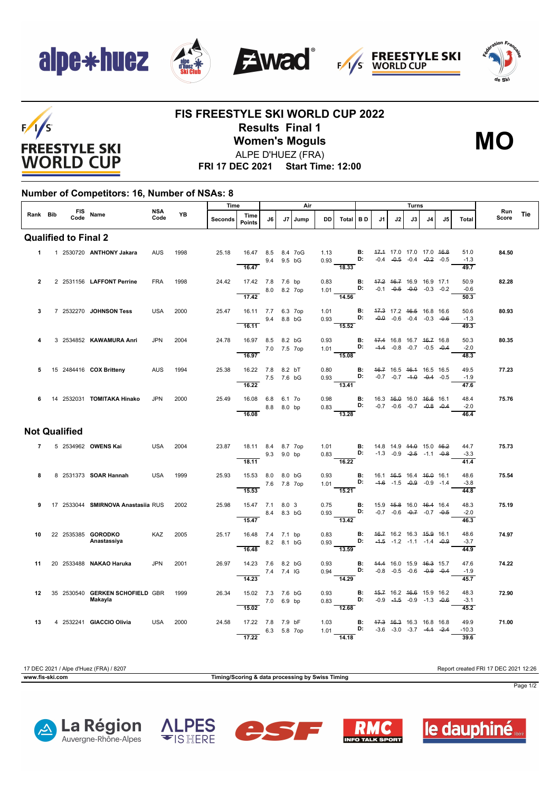







## $F/1/S$ **FREESTYLE SKI WORLD CUP**

### **FIS FREESTYLE SKI WORLD CUP 2022 Results Final 1 Women's Moguls** ALPE D'HUEZ (FRA)



**FRI 17 DEC 2021 Start Time: 12:00**

#### **Number of Competitors: 16, Number of NSAs: 8**

|                      |   |  | Code | FIS Name                           | <b>NSA</b><br>Code | <b>YB</b> | Time    |                                      | Air         |             |      |              |                                                                                                           |                |                                                          | Turns |                                                                                      |    |    |                 |       |            |
|----------------------|---|--|------|------------------------------------|--------------------|-----------|---------|--------------------------------------|-------------|-------------|------|--------------|-----------------------------------------------------------------------------------------------------------|----------------|----------------------------------------------------------|-------|--------------------------------------------------------------------------------------|----|----|-----------------|-------|------------|
| Rank Bib             |   |  |      |                                    |                    |           | Seconds | Time<br><b>Points</b>                | J6          | J7          | Jump | DD           | Total BD                                                                                                  |                | J1                                                       | J2    | J3                                                                                   | J4 | J5 | Total           | Score | Run<br>Tie |
|                      |   |  |      | <b>Qualified to Final 2</b>        |                    |           |         |                                      |             |             |      |              |                                                                                                           |                |                                                          |       |                                                                                      |    |    |                 |       |            |
|                      |   |  |      | 1 1 2530720 ANTHONY Jakara         | <b>AUS</b>         | 1998      | 25.18   | 16.47 8.5 8.4 7oG                    | 9.4         | 9.5 bG      |      | 1.13         | $0.93$ D:                                                                                                 | <b>B:</b>      |                                                          |       | 47.4 17.0 17.0 17.0 46.8<br>$-0.4$ $-0.5$ $-0.4$ $-0.2$ $-0.5$                       |    |    | 51.0<br>$-1.3$  | 84.50 |            |
|                      |   |  |      |                                    |                    |           |         | 16.47                                |             |             |      |              | $\overline{18.33}$                                                                                        |                |                                                          |       |                                                                                      |    |    | 49.7            |       |            |
| $\overline{2}$       |   |  |      | 2 2531156 LAFFONT Perrine          | <b>FRA</b>         | 1998      | 24.42   | 17.42 7.8 7.6 bp<br>$- 8.0 8.2 7$ op |             |             |      | 0.83         | $1.01$ D: $-0.1$ $-0.5$ $-0.9$ $-0.3$ $-0.2$                                                              | <b>B:</b>      |                                                          |       | 47.2 46.7 16.9 16.9 17.1                                                             |    |    | 50.9<br>$-0.6$  | 82.28 |            |
|                      |   |  |      |                                    |                    |           |         | 17.42                                |             |             |      |              | 14.56                                                                                                     |                |                                                          |       |                                                                                      |    |    | 50.3            |       |            |
| 3                    |   |  |      | 7 2532270 JOHNSON Tess             | <b>USA</b>         | 2000      | 25.47   | 16.11 7.7 6.3 7op                    |             | 9.4 8.8 bG  |      | 1.01         | $0.93$ D:                                                                                                 | <b>B:</b>      |                                                          |       | 47.3 17.2 46.5 16.8 16.6<br>$-0.0$ $-0.6$ $-0.4$ $-0.3$ $-0.6$                       |    |    | 50.6<br>$-1.3$  | 80.93 |            |
| 4                    |   |  |      | 3 2534852 KAWAMURA Anri            | <b>JPN</b>         | 2004      | 24.78   | 16.11<br>16.97 8.5 8.2 bG            |             |             |      | 0.93         | 15.52                                                                                                     |                | <b>B:</b> 47.4 16.8 16.7 46.7 16.8                       |       |                                                                                      |    |    | 49.3<br>50.3    | 80.35 |            |
|                      |   |  |      |                                    |                    |           |         | 7.0 7.5 7op<br>16.97                 |             |             |      |              | 1.01 <b>D:</b> -1.4 -0.8 -0.7 -0.5 -0.4<br>$-15.08$                                                       |                |                                                          |       |                                                                                      |    |    | $-2.0$<br>48.3  |       |            |
| 5                    |   |  |      | 15 2484416 COX Britteny            | <b>AUS</b>         | 1994      | 25.38   | 16.22 7.8 8.2 bT                     |             |             |      | 0.80         |                                                                                                           | В:             |                                                          |       | 46.7 16.5 46.4 16.5 16.5                                                             |    |    | 49.5            | 77.23 |            |
|                      |   |  |      |                                    |                    |           |         | 7.5 7.6 bG<br>16.22                  |             |             |      | 0.93         | D:<br>13.41                                                                                               |                |                                                          |       | $-0.7$ $-0.7$ $-4.9$ $-0.4$ $-0.5$                                                   |    |    | $-1.9$<br>47.6  |       |            |
| 6                    |   |  |      | 14 2532031 TOMITAKA Hinako         | <b>JPN</b>         | 2000      | 25.49   | 16.08 6.8 6.1 7o                     |             |             |      | 0.98         |                                                                                                           |                | <b>B:</b> 16.3 46.0 16.0 46.6 16.1                       |       |                                                                                      |    |    | 48.4            | 75.76 |            |
|                      |   |  |      |                                    |                    |           |         | $-8.8$ 8.0 bp<br>16.08               |             |             |      |              | 0.83 <b>D:</b> $-0.7$ $-0.6$ $-0.7$ $-0.8$ $-0.4$<br>$\overline{13.28}$                                   |                |                                                          |       |                                                                                      |    |    | $-2.0$<br>46.4  |       |            |
| <b>Not Qualified</b> |   |  |      |                                    |                    |           |         |                                      |             |             |      |              |                                                                                                           |                |                                                          |       |                                                                                      |    |    |                 |       |            |
|                      | 7 |  |      | 5 2534962 OWENS Kai                | <b>USA</b>         | 2004      | 23.87   | 18.11 8.4 8.7 7op                    |             |             |      |              | 1.01 <b>B</b> : 14.8 14.9 <del>14.0</del> 15.0 <del>16.2</del><br>0.83 <b>D:</b> -1.3 -0.9 -2.5 -1.1 -0.8 |                |                                                          |       |                                                                                      |    |    | 44.7<br>$-3.3$  | 75.73 |            |
|                      |   |  |      |                                    |                    |           |         | 9.3 9.0 bp<br>18.11                  |             |             |      |              | $\frac{16.22}{ }$                                                                                         |                |                                                          |       |                                                                                      |    |    | 41.4            |       |            |
| 8                    |   |  |      | 8 2531373 SOAR Hannah              | <b>USA</b>         | 1999      | 25.93   | 15.53 8.0 8.0 bG                     | 7.6 7.8 7op |             |      | 0.93         | 1.01 <b>D:</b>                                                                                            | <b>B:</b>      |                                                          |       | 16.1 <del>16.5</del> 16.4 <del>16.0</del> 16.1<br>$-4.6$ $-1.5$ $-0.9$ $-0.9$ $-1.4$ |    |    | 48.6<br>$-3.8$  | 75.54 |            |
|                      |   |  |      |                                    |                    |           |         | 15.53                                |             |             |      |              | $\overline{15.21}$                                                                                        |                |                                                          |       |                                                                                      |    |    | 44.8            |       |            |
| 9                    |   |  |      | 17 2533044 SMIRNOVA Anastasiia RUS |                    | 2002      | 25.98   | 15.47 7.1 8.0 3<br>8.4 8.3 bG        |             |             |      | 0.75<br>0.93 | <b>D:</b> $-0.7$ $-0.6$ $-0.7$ $-0.7$ $-0.5$                                                              |                | <b>B:</b> 15.9 <del>15.8</del> 16.0 <del>16.4</del> 16.4 |       |                                                                                      |    |    | 48.3<br>$-2.0$  | 75.19 |            |
| 10                   |   |  |      | 22 2535385 GORODKO                 | KAZ                | 2005      | 25.17   | 15.47<br>16.48 7.4 7.1 bp            |             |             |      | 0.83         | $\frac{1}{13.42}$                                                                                         | B:             |                                                          |       | 46.7 16.2 16.3 45.9 16.1                                                             |    |    | 46.3<br>48.6    | 74.97 |            |
|                      |   |  |      | Anastassiya                        |                    |           |         | 16.48                                |             | 8.2 8.1 bG  |      | 0.93         | D:<br>$-13.59$                                                                                            |                |                                                          |       | $-4.5$ $-1.2$ $-1.1$ $-1.4$ $-0.9$                                                   |    |    | $-3.7$<br>44.9  |       |            |
| 11                   |   |  |      | 20 2533488 NAKAO Haruka            | <b>JPN</b>         | 2001      | 26.97   | 14.23 7.6 8.2 bG                     |             |             |      | 0.93         |                                                                                                           |                | <b>B:</b> 44.4 16.0 15.9 46.3 15.7                       |       |                                                                                      |    |    | 47.6            | 74.22 |            |
|                      |   |  |      |                                    |                    |           |         | 7.4 7.4 IG<br>14.23                  |             |             |      | 0.94         | D:<br>14.29                                                                                               |                |                                                          |       | $-0.8$ $-0.5$ $-0.6$ $-0.9$ $-0.4$                                                   |    |    | $-1.9$<br>45.7  |       |            |
| 12                   |   |  |      | 35 2530540 GERKEN SCHOFIELD GBR    |                    | 1999      | 26.34   | 15.02 7.3 7.6 bG                     |             |             |      | 0.93         |                                                                                                           | $\mathbf{B}$ : |                                                          |       | 45.7 16.2 46.6 15.9 16.2                                                             |    |    | 48.3            | 72.90 |            |
|                      |   |  |      | Makayla                            |                    |           |         | 15.02                                | 7.0 6.9 bp  |             |      | 0.83         | D:<br>12.68                                                                                               |                |                                                          |       | $-0.9$ $-4.5$ $-0.9$ $-1.3$ $-0.6$                                                   |    |    | $-3.1$<br>45.2  |       |            |
| 13                   |   |  |      | 4 2532241 GIACCIO Olivia           | <b>USA</b>         | 2000      | 24.58   | 17.22 7.8 7.9 bF                     |             | 6.3 5.8 7op |      | 1.03<br>1.01 |                                                                                                           | D:             | <b>B:</b> 47.3 46.3 16.3 16.8 16.8                       |       | $-3.6$ $-3.0$ $-3.7$ $-4.4$ $-2.4$                                                   |    |    | 49.9<br>$-10.3$ | 71.00 |            |
|                      |   |  |      |                                    |                    |           |         | 17.22                                |             |             |      |              | 14.18                                                                                                     |                |                                                          |       |                                                                                      |    |    | 39.6            |       |            |

17 DEC 2021 / Alpe d'Huez (FRA) / 8207 Report created FRI 17 DEC 2021 12:26 **www.fis-ski.com Timing/Scoring & data processing by Swiss Timing**



Page 1/2